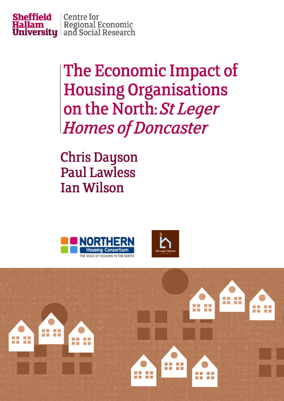

The Economic Impact of **Housing Organisations** on the North: St Leger **Homes of Doncaster** 

**Chris Dayson Paul Lawless Ian Wilson** 





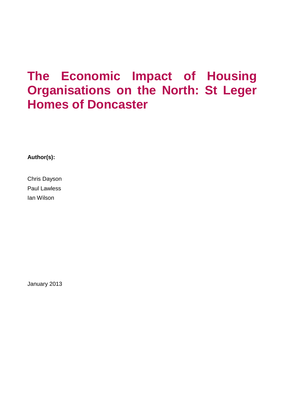## **The Economic Impact of Housing Organisations on the North: St Leger Homes of Doncaster**

**Author(s):**

Chris Dayson Paul Lawless Ian Wilson

January 2013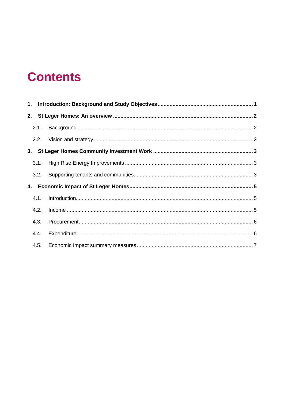## **Contents**

|  | 2.2. |  |  |  |  |
|--|------|--|--|--|--|
|  |      |  |  |  |  |
|  | 3.1. |  |  |  |  |
|  |      |  |  |  |  |
|  |      |  |  |  |  |
|  | 4.1. |  |  |  |  |
|  | 4.2. |  |  |  |  |
|  | 4.3. |  |  |  |  |
|  | 4.4. |  |  |  |  |
|  | 4.5. |  |  |  |  |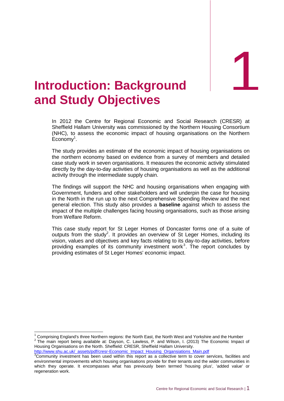## <span id="page-3-0"></span>**Introduction: Background and Study Objectives Background**

In 2012 the Centre for Regional Economic and Social Research (CRESR) at Sheffield Hallam University was commissioned by the Northern Housing Consortium (NHC), to assess the economic impact of housing organisations on the Northern Economy<sup>1</sup>.

The study provides an estimate of the economic impact of housing organisations on the northern economy based on evidence from a survey of members and detailed case study work in seven organisations. It measures the economic activity stimulated directly by the day-to-day activities of housing organisations as well as the additional activity through the intermediate supply chain.

The findings will support the NHC and housing organisations when engaging with Government, funders and other stakeholders and will underpin the case for housing in the North in the run up to the next Comprehensive Spending Review and the next general election. This study also provides a **baseline** against which to assess the impact of the multiple challenges facing housing organisations, such as those arising from Welfare Reform.

This case study report for St Leger Homes of Doncaster forms one of a suite of outputs from the study<sup>2</sup>. It provides an overview of St Leger Homes, including its vision, values and objectives and key facts relating to its day-to-day activities, before providing examples of its community investment work<sup>3</sup>. The report concludes by providing estimates of St Leger Homes' economic impact.

<sup>1</sup> Comprising England's three Northern regions: the North East, the North West and Yorkshire and the Humber  $2$  The main report being available at: Dayson, C. Lawless, P. and Wilson, I. (2013) The Economic Impact of Housing Organisations on the North. Sheffield: CRESR, Sheffield Hallam University.

[http://www.shu.ac.uk/\\_assets/pdf/cresr-Economic\\_Impact\\_Housing\\_Organsiations\\_Main.pdf](http://www.shu.ac.uk/_assets/pdf/cresr-Economic_Impact_Housing_Organsiations_Main.pdf)

-

 $3$ Community investment has been used within this report as a collective term to cover services, facilities and environmental improvements which housing organisations provide for their tenants and the wider communities in which they operate. It encompasses what has previously been termed 'housing plus', 'added value' or regeneration work.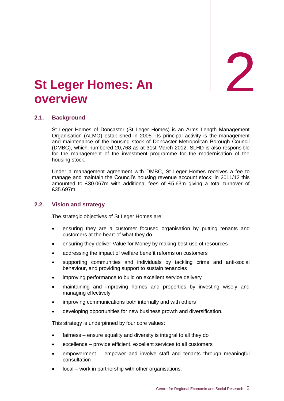**An** 2

### <span id="page-4-0"></span>**St Leger Homes: An overview**

#### <span id="page-4-1"></span>**2.1. Background**

St Leger Homes of Doncaster (St Leger Homes) is an Arms Length Management Organisation (ALMO) established in 2005. Its principal activity is the management and maintenance of the housing stock of Doncaster Metropolitan Borough Council (DMBC), which numbered 20,768 as at 31st March 2012. SLHD is also responsible for the management of the investment programme for the modernisation of the housing stock.

Under a management agreement with DMBC, St Leger Homes receives a fee to manage and maintain the Council's housing revenue account stock: in 2011/12 this amounted to £30.067m with additional fees of £5.63m giving a total turnover of £35.697m.

#### <span id="page-4-2"></span>**2.2. Vision and strategy**

The strategic objectives of St Leger Homes are:

- ensuring they are a customer focused organisation by putting tenants and customers at the heart of what they do
- ensuring they deliver Value for Money by making best use of resources
- addressing the impact of welfare benefit reforms on customers
- supporting communities and individuals by tackling crime and anti-social behaviour, and providing support to sustain tenancies
- improving performance to build on excellent service delivery
- maintaining and improving homes and properties by investing wisely and managing effectively
- improving communications both internally and with others
- developing opportunities for new business growth and diversification.

This strategy is underpinned by four core values:

- fairness ensure equality and diversity is integral to all they do
- excellence provide efficient, excellent services to all customers
- empowerment empower and involve staff and tenants through meaningful consultation
- local work in partnership with other organisations.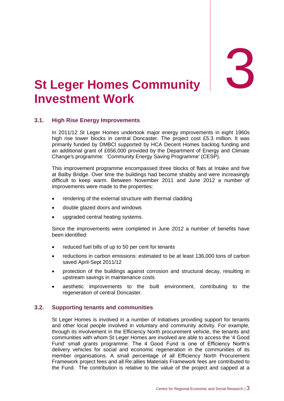## <span id="page-5-0"></span>3. **St Investment Work Leger Homes Community**

#### <span id="page-5-1"></span>**3.1. High Rise Energy Improvements**

In 2011/12 St Leger Homes undertook major energy improvements in eight 1960s high rise tower blocks in central Doncaster. The project cost £5.3 million. It was primarily funded by DMBCl supported by HCA Decent Homes backlog funding and an additional grant of £656,000 provided by the Department of Energy and Climate Change's programme: 'Community Energy Saving Programme' (CESP).

This improvement programme encompassed three blocks of flats at Intake and five at Balby Bridge. Over time the buildings had become shabby and were increasingly difficult to keep warm. Between November 2011 and June 2012 a number of improvements were made to the properties:

- rendering of the external structure with thermal cladding
- double glazed doors and windows
- upgraded central heating systems.

Since the improvements were completed in June 2012 a number of benefits have been identified:

- reduced fuel bills of up to 50 per cent for tenants
- reductions in carbon emissions: estimated to be at least 136,000 tons of carbon saved April-Sept 2011/12
- protection of the buildings against corrosion and structural decay, resulting in upstream savings in maintenance costs
- aesthetic improvements to the built environment, contributing to the regeneration of central Doncaster.

#### <span id="page-5-2"></span>**3.2. Supporting tenants and communities**

St Leger Homes is involved in a number of initiatives providing support for tenants and other local people involved in voluntary and community activity. For example, through its involvement in the Efficiency North procurement vehicle, the tenants and communities with whom St Leger Homes are involved are able to access the '4 Good Fund' small grants programme. The 4 Good Fund is one of Efficiency North's delivery vehicles for social and economic regeneration in the communities of its member organisations. A small percentage of all Efficiency North Procurement Framework project fees and all Re:allies Materials Framework fees are contributed to the Fund. The contribution is relative to the value of the project and capped at a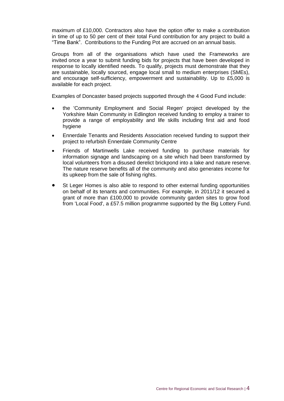maximum of £10,000. Contractors also have the option offer to make a contribution in time of up to 50 per cent of their total Fund contribution for any project to build a "Time Bank". Contributions to the Funding Pot are accrued on an annual basis.

Groups from all of the organisations which have used the Frameworks are invited once a year to submit funding bids for projects that have been developed in response to locally identified needs. To qualify, projects must demonstrate that they are sustainable, locally sourced, engage local small to medium enterprises (SMEs), and encourage self-sufficiency, empowerment and sustainability. Up to £5,000 is available for each project.

Examples of Doncaster based projects supported through the 4 Good Fund include:

- the 'Community Employment and Social Regen' project developed by the Yorkshire Main Community in Edlington received funding to employ a trainer to provide a range of employability and life skills including first aid and food hygiene
- Ennerdale Tenants and Residents Association received funding to support their project to refurbish Ennerdale Community Centre
- Friends of Martinwells Lake received funding to purchase materials for information signage and landscaping on a site which had been transformed by local volunteers from a disused derelict brickpond into a lake and nature reserve. The nature reserve benefits all of the community and also generates income for its upkeep from the sale of fishing rights.
- St Leger Homes is also able to respond to other external funding opportunities on behalf of its tenants and communities. For example, in 2011/12 it secured a grant of more than £100,000 to provide community garden sites to grow food from 'Local Food', a £57.5 million programme supported by the Big Lottery Fund.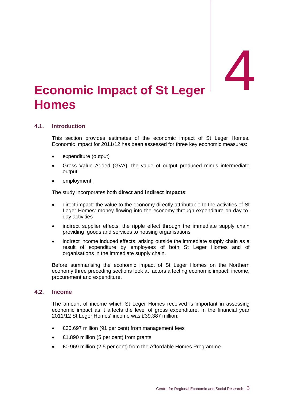# <span id="page-7-0"></span>Economic Impact of St Leger **4. Homes**

#### <span id="page-7-1"></span>**4.1. Introduction**

This section provides estimates of the economic impact of St Leger Homes. Economic Impact for 2011/12 has been assessed for three key economic measures:

- expenditure (output)
- Gross Value Added (GVA): the value of output produced minus intermediate output
- employment.

The study incorporates both **direct and indirect impacts**:

- direct impact: the value to the economy directly attributable to the activities of St Leger Homes: money flowing into the economy through expenditure on day-today activities
- indirect supplier effects: the ripple effect through the immediate supply chain providing goods and services to housing organisations
- indirect income induced effects: arising outside the immediate supply chain as a result of expenditure by employees of both St Leger Homes and of organisations in the immediate supply chain.

Before summarising the economic impact of St Leger Homes on the Northern economy three preceding sections look at factors affecting economic impact: income, procurement and expenditure.

#### <span id="page-7-2"></span>**4.2. Income**

The amount of income which St Leger Homes received is important in assessing economic impact as it affects the level of gross expenditure. In the financial year 2011/12 St Leger Homes' income was £39.387 million:

- £35.697 million (91 per cent) from management fees
- £1.890 million (5 per cent) from grants
- £0.969 million (2.5 per cent) from the Affordable Homes Programme.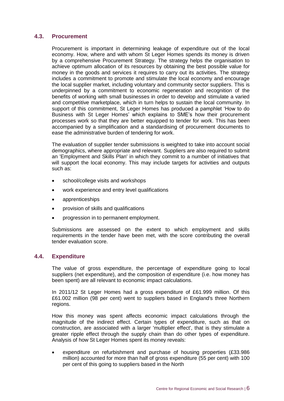#### <span id="page-8-0"></span>**4.3. Procurement**

Procurement is important in determining leakage of expenditure out of the local economy. How, where and with whom St Leger Homes spends its money is driven by a comprehensive Procurement Strategy. The strategy helps the organisation to achieve optimum allocation of its resources by obtaining the best possible value for money in the goods and services it requires to carry out its activities. The strategy includes a commitment to promote and stimulate the local economy and encourage the local supplier market, including voluntary and community sector suppliers. This is underpinned by a commitment to economic regeneration and recognition of the benefits of working with small businesses in order to develop and stimulate a varied and competitive marketplace, which in turn helps to sustain the local community. In support of this commitment, St Leger Homes has produced a pamphlet 'How to do Business with St Leger Homes' which explains to SME's how their procurement processes work so that they are better equipped to tender for work. This has been accompanied by a simplification and a standardising of procurement documents to ease the administrative burden of tendering for work.

The evaluation of supplier tender submissions is weighted to take into account social demographics, where appropriate and relevant. Suppliers are also required to submit an 'Employment and Skills Plan' in which they commit to a number of initiatives that will support the local economy. This may include targets for activities and outputs such as:

- school/college visits and workshops
- work experience and entry level qualifications
- apprenticeships
- provision of skills and qualifications
- progression in to permanent employment.

Submissions are assessed on the extent to which employment and skills requirements in the tender have been met, with the score contributing the overall tender evaluation score.

#### <span id="page-8-1"></span>**4.4. Expenditure**

The value of gross expenditure, the percentage of expenditure going to local suppliers (net expenditure), and the composition of expenditure (i.e. how money has been spent) are all relevant to economic impact calculations.

In 2011/12 St Leger Homes had a gross expenditure of £61.999 million. Of this £61.002 million (98 per cent) went to suppliers based in England's three Northern regions.

How this money was spent affects economic impact calculations through the magnitude of the indirect effect. Certain types of expenditure, such as that on construction, are associated with a larger 'multiplier effect', that is they stimulate a greater ripple effect through the supply chain than do other types of expenditure. Analysis of how St Leger Homes spent its money reveals:

 expenditure on refurbishment and purchase of housing properties (£33.986 million) accounted for more than half of gross expenditure (55 per cent) with 100 per cent of this going to suppliers based in the North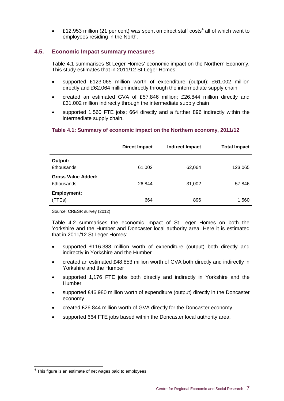• £12.953 million (21 per cent) was spent on direct staff costs<sup>4</sup> all of which went to employees residing in the North.

#### <span id="page-9-0"></span>**4.5. Economic Impact summary measures**

Table 4.1 summarises St Leger Homes' economic impact on the Northern Economy. This study estimates that in 2011/12 St Leger Homes:

- supported £123.065 million worth of expenditure (output); £61.002 million directly and £62.064 million indirectly through the intermediate supply chain
- created an estimated GVA of £57.846 million; £26.844 million directly and £31.002 million indirectly through the intermediate supply chain
- supported 1,560 FTE jobs; 664 directly and a further 896 indirectly within the intermediate supply chain.

|                                         | <b>Direct Impact</b> | <b>Indirect Impact</b> | <b>Total Impact</b> |
|-----------------------------------------|----------------------|------------------------|---------------------|
| Output:<br><b>£thousands</b>            | 61,002               | 62,064                 | 123,065             |
| Gross Value Added:<br><b>£thousands</b> | 26,844               | 31,002                 | 57,846              |
| <b>Employment:</b><br>(FTEs)            | 664                  | 896                    | 1,560               |

#### **Table 4.1: Summary of economic impact on the Northern economy, 2011/12**

Source: CRESR survey (2012)

Table 4.2 summarises the economic impact of St Leger Homes on both the Yorkshire and the Humber and Doncaster local authority area. Here it is estimated that in 2011/12 St Leger Homes:

- supported £116.388 million worth of expenditure (output) both directly and indirectly in Yorkshire and the Humber
- created an estimated £48.853 million worth of GVA both directly and indirectly in Yorkshire and the Humber
- supported 1,176 FTE jobs both directly and indirectly in Yorkshire and the Humber
- supported £46.980 million worth of expenditure (output) directly in the Doncaster economy
- created £26.844 million worth of GVA directly for the Doncaster economy
- supported 664 FTE jobs based within the Doncaster local authority area.

 $\overline{a}$ 

<sup>&</sup>lt;sup>4</sup> This figure is an estimate of net wages paid to employees